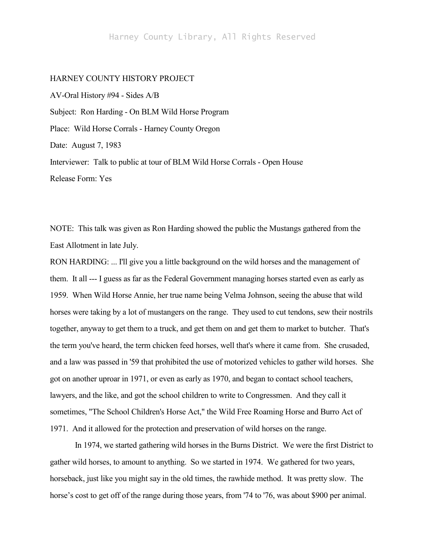## HARNEY COUNTY HISTORY PROJECT

AV-Oral History #94 - Sides A/B Subject: Ron Harding - On BLM Wild Horse Program Place: Wild Horse Corrals - Harney County Oregon Date: August 7, 1983 Interviewer: Talk to public at tour of BLM Wild Horse Corrals - Open House Release Form: Yes

NOTE: This talk was given as Ron Harding showed the public the Mustangs gathered from the East Allotment in late July.

RON HARDING: ... I'll give you a little background on the wild horses and the management of them. It all --- I guess as far as the Federal Government managing horses started even as early as 1959. When Wild Horse Annie, her true name being Velma Johnson, seeing the abuse that wild horses were taking by a lot of mustangers on the range. They used to cut tendons, sew their nostrils together, anyway to get them to a truck, and get them on and get them to market to butcher. That's the term you've heard, the term chicken feed horses, well that's where it came from. She crusaded, and a law was passed in '59 that prohibited the use of motorized vehicles to gather wild horses. She got on another uproar in 1971, or even as early as 1970, and began to contact school teachers, lawyers, and the like, and got the school children to write to Congressmen. And they call it sometimes, "The School Children's Horse Act," the Wild Free Roaming Horse and Burro Act of 1971. And it allowed for the protection and preservation of wild horses on the range.

In 1974, we started gathering wild horses in the Burns District. We were the first District to gather wild horses, to amount to anything. So we started in 1974. We gathered for two years, horseback, just like you might say in the old times, the rawhide method. It was pretty slow. The horse's cost to get off of the range during those years, from '74 to '76, was about \$900 per animal.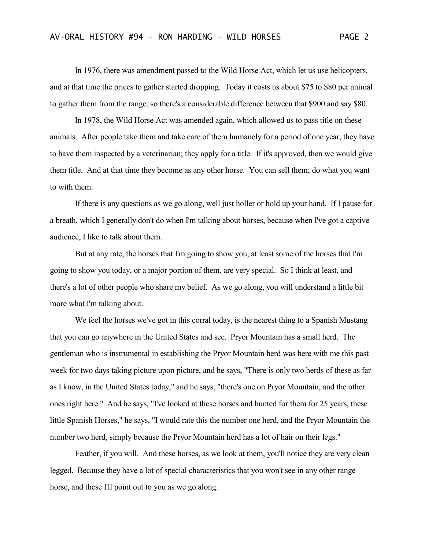In 1976, there was amendment passed to the Wild Horse Act, which let us use helicopters, and at that time the prices to gather started dropping. Today it costs us about \$75 to \$80 per animal to gather them from the range, so there's a considerable difference between that \$900 and say \$80.

In 1978, the Wild Horse Act was amended again, which allowed us to pass title on these animals. After people take them and take care of them humanely for a period of one year, they have to have them inspected by a veterinarian; they apply for a title. If it's approved, then we would give them title. And at that time they become as any other horse. You can sell them; do what you want to with them.

If there is any questions as we go along, well just holler or hold up your hand. If I pause for a breath, which I generally don't do when I'm talking about horses, because when I've got a captive audience, I like to talk about them.

But at any rate, the horses that I'm going to show you, at least some of the horses that I'm going to show you today, or a major portion of them, are very special. So I think at least, and there's a lot of other people who share my belief. As we go along, you will understand a little bit more what I'm talking about.

We feel the horses we've got in this corral today, is the nearest thing to a Spanish Mustang that you can go anywhere in the United States and see. Pryor Mountain has a small herd. The gentleman who is instrumental in establishing the Pryor Mountain herd was here with me this past week for two days taking picture upon picture, and he says, "There is only two herds of these as far as I know, in the United States today," and he says, "there's one on Pryor Mountain, and the other ones right here." And he says, "I've looked at these horses and hunted for them for 25 years, these little Spanish Horses," he says, "I would rate this the number one herd, and the Pryor Mountain the number two herd, simply because the Pryor Mountain herd has a lot of hair on their legs."

Feather, if you will. And these horses, as we look at them, you'll notice they are very clean legged. Because they have a lot of special characteristics that you won't see in any other range horse, and these I'll point out to you as we go along.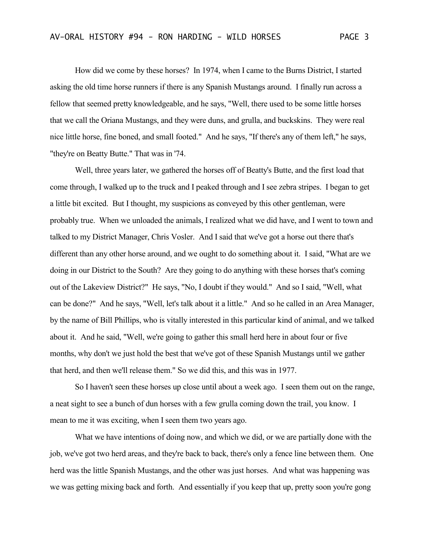How did we come by these horses? In 1974, when I came to the Burns District, I started asking the old time horse runners if there is any Spanish Mustangs around. I finally run across a fellow that seemed pretty knowledgeable, and he says, "Well, there used to be some little horses that we call the Oriana Mustangs, and they were duns, and grulla, and buckskins. They were real nice little horse, fine boned, and small footed." And he says, "If there's any of them left," he says, "they're on Beatty Butte." That was in '74.

Well, three years later, we gathered the horses off of Beatty's Butte, and the first load that come through, I walked up to the truck and I peaked through and I see zebra stripes. I began to get a little bit excited. But I thought, my suspicions as conveyed by this other gentleman, were probably true. When we unloaded the animals, I realized what we did have, and I went to town and talked to my District Manager, Chris Vosler. And I said that we've got a horse out there that's different than any other horse around, and we ought to do something about it. I said, "What are we doing in our District to the South? Are they going to do anything with these horses that's coming out of the Lakeview District?" He says, "No, I doubt if they would." And so I said, "Well, what can be done?" And he says, "Well, let's talk about it a little." And so he called in an Area Manager, by the name of Bill Phillips, who is vitally interested in this particular kind of animal, and we talked about it. And he said, "Well, we're going to gather this small herd here in about four or five months, why don't we just hold the best that we've got of these Spanish Mustangs until we gather that herd, and then we'll release them." So we did this, and this was in 1977.

So I haven't seen these horses up close until about a week ago. I seen them out on the range, a neat sight to see a bunch of dun horses with a few grulla coming down the trail, you know. I mean to me it was exciting, when I seen them two years ago.

What we have intentions of doing now, and which we did, or we are partially done with the job, we've got two herd areas, and they're back to back, there's only a fence line between them. One herd was the little Spanish Mustangs, and the other was just horses. And what was happening was we was getting mixing back and forth. And essentially if you keep that up, pretty soon you're gong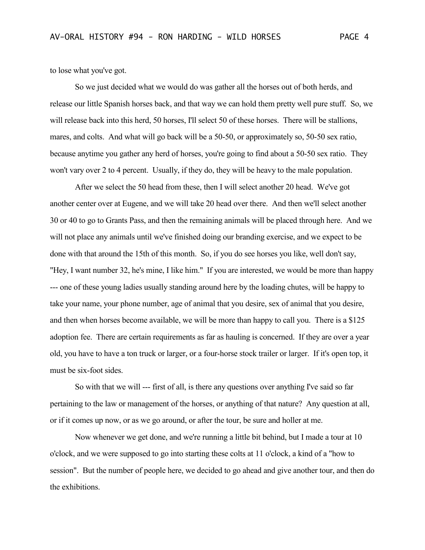to lose what you've got.

So we just decided what we would do was gather all the horses out of both herds, and release our little Spanish horses back, and that way we can hold them pretty well pure stuff. So, we will release back into this herd, 50 horses, I'll select 50 of these horses. There will be stallions, mares, and colts. And what will go back will be a 50-50, or approximately so, 50-50 sex ratio, because anytime you gather any herd of horses, you're going to find about a 50-50 sex ratio. They won't vary over 2 to 4 percent. Usually, if they do, they will be heavy to the male population.

After we select the 50 head from these, then I will select another 20 head. We've got another center over at Eugene, and we will take 20 head over there. And then we'll select another 30 or 40 to go to Grants Pass, and then the remaining animals will be placed through here. And we will not place any animals until we've finished doing our branding exercise, and we expect to be done with that around the 15th of this month. So, if you do see horses you like, well don't say, "Hey, I want number 32, he's mine, I like him." If you are interested, we would be more than happy --- one of these young ladies usually standing around here by the loading chutes, will be happy to take your name, your phone number, age of animal that you desire, sex of animal that you desire, and then when horses become available, we will be more than happy to call you. There is a \$125 adoption fee. There are certain requirements as far as hauling is concerned. If they are over a year old, you have to have a ton truck or larger, or a four-horse stock trailer or larger. If it's open top, it must be six-foot sides.

So with that we will --- first of all, is there any questions over anything I've said so far pertaining to the law or management of the horses, or anything of that nature? Any question at all, or if it comes up now, or as we go around, or after the tour, be sure and holler at me.

Now whenever we get done, and we're running a little bit behind, but I made a tour at 10 o'clock, and we were supposed to go into starting these colts at 11 o'clock, a kind of a "how to session". But the number of people here, we decided to go ahead and give another tour, and then do the exhibitions.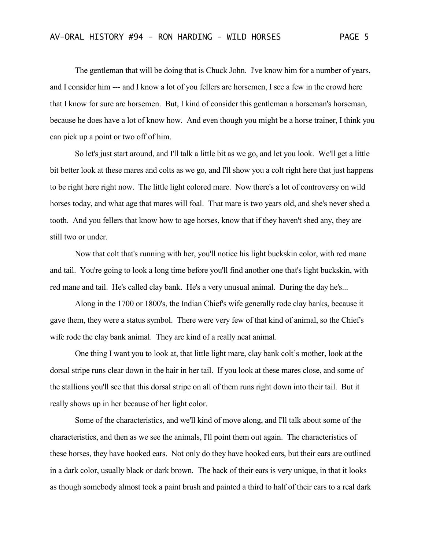The gentleman that will be doing that is Chuck John. I've know him for a number of years, and I consider him --- and I know a lot of you fellers are horsemen, I see a few in the crowd here that I know for sure are horsemen. But, I kind of consider this gentleman a horseman's horseman, because he does have a lot of know how. And even though you might be a horse trainer, I think you can pick up a point or two off of him.

So let's just start around, and I'll talk a little bit as we go, and let you look. We'll get a little bit better look at these mares and colts as we go, and I'll show you a colt right here that just happens to be right here right now. The little light colored mare. Now there's a lot of controversy on wild horses today, and what age that mares will foal. That mare is two years old, and she's never shed a tooth. And you fellers that know how to age horses, know that if they haven't shed any, they are still two or under.

Now that colt that's running with her, you'll notice his light buckskin color, with red mane and tail. You're going to look a long time before you'll find another one that's light buckskin, with red mane and tail. He's called clay bank. He's a very unusual animal. During the day he's...

Along in the 1700 or 1800's, the Indian Chief's wife generally rode clay banks, because it gave them, they were a status symbol. There were very few of that kind of animal, so the Chief's wife rode the clay bank animal. They are kind of a really neat animal.

One thing I want you to look at, that little light mare, clay bank colt's mother, look at the dorsal stripe runs clear down in the hair in her tail. If you look at these mares close, and some of the stallions you'll see that this dorsal stripe on all of them runs right down into their tail. But it really shows up in her because of her light color.

Some of the characteristics, and we'll kind of move along, and I'll talk about some of the characteristics, and then as we see the animals, I'll point them out again. The characteristics of these horses, they have hooked ears. Not only do they have hooked ears, but their ears are outlined in a dark color, usually black or dark brown. The back of their ears is very unique, in that it looks as though somebody almost took a paint brush and painted a third to half of their ears to a real dark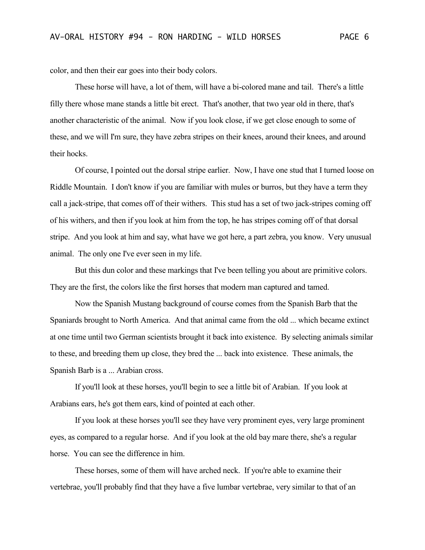color, and then their ear goes into their body colors.

These horse will have, a lot of them, will have a bi-colored mane and tail. There's a little filly there whose mane stands a little bit erect. That's another, that two year old in there, that's another characteristic of the animal. Now if you look close, if we get close enough to some of these, and we will I'm sure, they have zebra stripes on their knees, around their knees, and around their hocks.

Of course, I pointed out the dorsal stripe earlier. Now, I have one stud that I turned loose on Riddle Mountain. I don't know if you are familiar with mules or burros, but they have a term they call a jack-stripe, that comes off of their withers. This stud has a set of two jack-stripes coming off of his withers, and then if you look at him from the top, he has stripes coming off of that dorsal stripe. And you look at him and say, what have we got here, a part zebra, you know. Very unusual animal. The only one I've ever seen in my life.

But this dun color and these markings that I've been telling you about are primitive colors. They are the first, the colors like the first horses that modern man captured and tamed.

Now the Spanish Mustang background of course comes from the Spanish Barb that the Spaniards brought to North America. And that animal came from the old ... which became extinct at one time until two German scientists brought it back into existence. By selecting animals similar to these, and breeding them up close, they bred the ... back into existence. These animals, the Spanish Barb is a ... Arabian cross.

If you'll look at these horses, you'll begin to see a little bit of Arabian. If you look at Arabians ears, he's got them ears, kind of pointed at each other.

If you look at these horses you'll see they have very prominent eyes, very large prominent eyes, as compared to a regular horse. And if you look at the old bay mare there, she's a regular horse. You can see the difference in him.

These horses, some of them will have arched neck. If you're able to examine their vertebrae, you'll probably find that they have a five lumbar vertebrae, very similar to that of an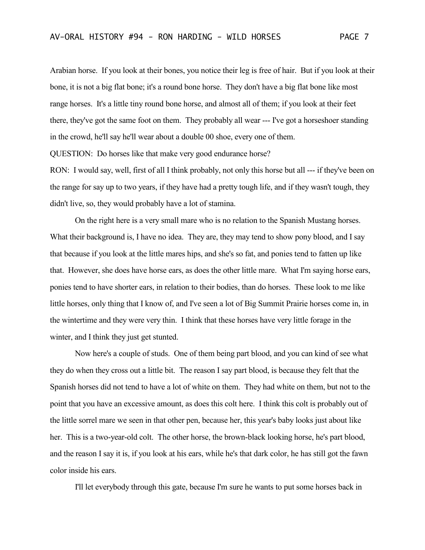didn't live, so, they would probably have a lot of stamina.

Arabian horse. If you look at their bones, you notice their leg is free of hair. But if you look at their bone, it is not a big flat bone; it's a round bone horse. They don't have a big flat bone like most range horses. It's a little tiny round bone horse, and almost all of them; if you look at their feet there, they've got the same foot on them. They probably all wear --- I've got a horseshoer standing in the crowd, he'll say he'll wear about a double 00 shoe, every one of them. QUESTION: Do horses like that make very good endurance horse? RON: I would say, well, first of all I think probably, not only this horse but all --- if they've been on the range for say up to two years, if they have had a pretty tough life, and if they wasn't tough, they

On the right here is a very small mare who is no relation to the Spanish Mustang horses. What their background is, I have no idea. They are, they may tend to show pony blood, and I say that because if you look at the little mares hips, and she's so fat, and ponies tend to fatten up like that. However, she does have horse ears, as does the other little mare. What I'm saying horse ears, ponies tend to have shorter ears, in relation to their bodies, than do horses. These look to me like little horses, only thing that I know of, and I've seen a lot of Big Summit Prairie horses come in, in the wintertime and they were very thin. I think that these horses have very little forage in the winter, and I think they just get stunted.

Now here's a couple of studs. One of them being part blood, and you can kind of see what they do when they cross out a little bit. The reason I say part blood, is because they felt that the Spanish horses did not tend to have a lot of white on them. They had white on them, but not to the point that you have an excessive amount, as does this colt here. I think this colt is probably out of the little sorrel mare we seen in that other pen, because her, this year's baby looks just about like her. This is a two-year-old colt. The other horse, the brown-black looking horse, he's part blood, and the reason I say it is, if you look at his ears, while he's that dark color, he has still got the fawn color inside his ears.

I'll let everybody through this gate, because I'm sure he wants to put some horses back in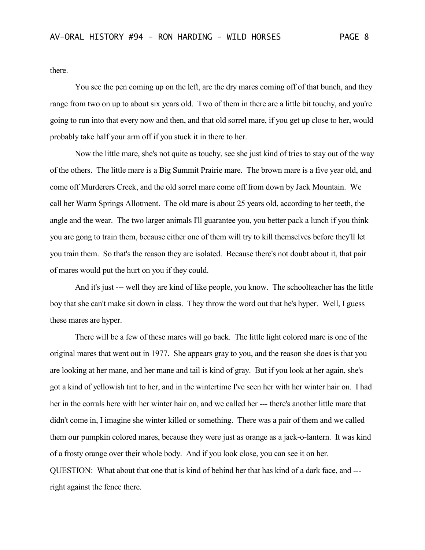there.

You see the pen coming up on the left, are the dry mares coming off of that bunch, and they range from two on up to about six years old. Two of them in there are a little bit touchy, and you're going to run into that every now and then, and that old sorrel mare, if you get up close to her, would probably take half your arm off if you stuck it in there to her.

Now the little mare, she's not quite as touchy, see she just kind of tries to stay out of the way of the others. The little mare is a Big Summit Prairie mare. The brown mare is a five year old, and come off Murderers Creek, and the old sorrel mare come off from down by Jack Mountain. We call her Warm Springs Allotment. The old mare is about 25 years old, according to her teeth, the angle and the wear. The two larger animals I'll guarantee you, you better pack a lunch if you think you are gong to train them, because either one of them will try to kill themselves before they'll let you train them. So that's the reason they are isolated. Because there's not doubt about it, that pair of mares would put the hurt on you if they could.

And it's just --- well they are kind of like people, you know. The schoolteacher has the little boy that she can't make sit down in class. They throw the word out that he's hyper. Well, I guess these mares are hyper.

There will be a few of these mares will go back. The little light colored mare is one of the original mares that went out in 1977. She appears gray to you, and the reason she does is that you are looking at her mane, and her mane and tail is kind of gray. But if you look at her again, she's got a kind of yellowish tint to her, and in the wintertime I've seen her with her winter hair on. I had her in the corrals here with her winter hair on, and we called her --- there's another little mare that didn't come in, I imagine she winter killed or something. There was a pair of them and we called them our pumpkin colored mares, because they were just as orange as a jack-o-lantern. It was kind of a frosty orange over their whole body. And if you look close, you can see it on her. QUESTION: What about that one that is kind of behind her that has kind of a dark face, and -- right against the fence there.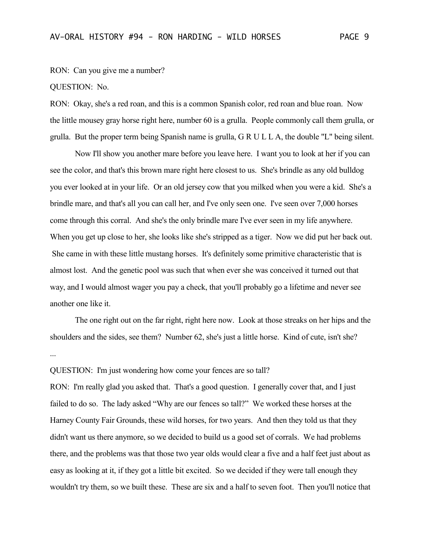RON: Can you give me a number?

QUESTION: No.

RON: Okay, she's a red roan, and this is a common Spanish color, red roan and blue roan. Now the little mousey gray horse right here, number 60 is a grulla. People commonly call them grulla, or grulla. But the proper term being Spanish name is grulla, G R U L L A, the double "L" being silent.

Now I'll show you another mare before you leave here. I want you to look at her if you can see the color, and that's this brown mare right here closest to us. She's brindle as any old bulldog you ever looked at in your life. Or an old jersey cow that you milked when you were a kid. She's a brindle mare, and that's all you can call her, and I've only seen one. I've seen over 7,000 horses come through this corral. And she's the only brindle mare I've ever seen in my life anywhere. When you get up close to her, she looks like she's stripped as a tiger. Now we did put her back out. She came in with these little mustang horses. It's definitely some primitive characteristic that is almost lost. And the genetic pool was such that when ever she was conceived it turned out that way, and I would almost wager you pay a check, that you'll probably go a lifetime and never see another one like it.

The one right out on the far right, right here now. Look at those streaks on her hips and the shoulders and the sides, see them? Number 62, she's just a little horse. Kind of cute, isn't she? ...

QUESTION: I'm just wondering how come your fences are so tall?

RON: I'm really glad you asked that. That's a good question. I generally cover that, and I just failed to do so. The lady asked "Why are our fences so tall?" We worked these horses at the Harney County Fair Grounds, these wild horses, for two years. And then they told us that they didn't want us there anymore, so we decided to build us a good set of corrals. We had problems there, and the problems was that those two year olds would clear a five and a half feet just about as easy as looking at it, if they got a little bit excited. So we decided if they were tall enough they wouldn't try them, so we built these. These are six and a half to seven foot. Then you'll notice that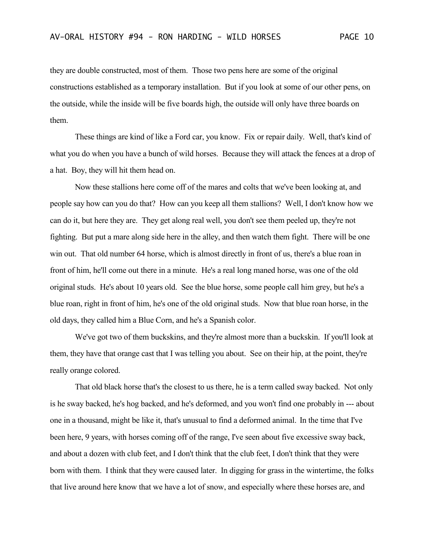they are double constructed, most of them. Those two pens here are some of the original constructions established as a temporary installation. But if you look at some of our other pens, on the outside, while the inside will be five boards high, the outside will only have three boards on them.

These things are kind of like a Ford car, you know. Fix or repair daily. Well, that's kind of what you do when you have a bunch of wild horses. Because they will attack the fences at a drop of a hat. Boy, they will hit them head on.

Now these stallions here come off of the mares and colts that we've been looking at, and people say how can you do that? How can you keep all them stallions? Well, I don't know how we can do it, but here they are. They get along real well, you don't see them peeled up, they're not fighting. But put a mare along side here in the alley, and then watch them fight. There will be one win out. That old number 64 horse, which is almost directly in front of us, there's a blue roan in front of him, he'll come out there in a minute. He's a real long maned horse, was one of the old original studs. He's about 10 years old. See the blue horse, some people call him grey, but he's a blue roan, right in front of him, he's one of the old original studs. Now that blue roan horse, in the old days, they called him a Blue Corn, and he's a Spanish color.

We've got two of them buckskins, and they're almost more than a buckskin. If you'll look at them, they have that orange cast that I was telling you about. See on their hip, at the point, they're really orange colored.

That old black horse that's the closest to us there, he is a term called sway backed. Not only is he sway backed, he's hog backed, and he's deformed, and you won't find one probably in --- about one in a thousand, might be like it, that's unusual to find a deformed animal. In the time that I've been here, 9 years, with horses coming off of the range, I've seen about five excessive sway back, and about a dozen with club feet, and I don't think that the club feet, I don't think that they were born with them. I think that they were caused later. In digging for grass in the wintertime, the folks that live around here know that we have a lot of snow, and especially where these horses are, and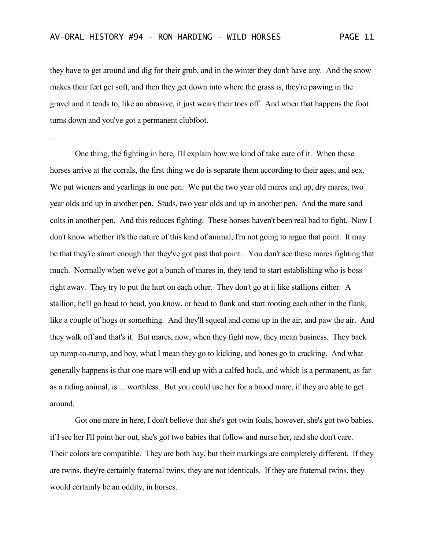they have to get around and dig for their grub, and in the winter they don't have any. And the snow makes their feet get soft, and then they get down into where the grass is, they're pawing in the gravel and it tends to, like an abrasive, it just wears their toes off. And when that happens the foot turns down and you've got a permanent clubfoot.

...

One thing, the fighting in here, I'll explain how we kind of take care of it. When these horses arrive at the corrals, the first thing we do is separate them according to their ages, and sex. We put wieners and yearlings in one pen. We put the two year old mares and up, dry mares, two year olds and up in another pen. Studs, two year olds and up in another pen. And the mare sand colts in another pen. And this reduces fighting. These horses haven't been real bad to fight. Now I don't know whether it's the nature of this kind of animal, I'm not going to argue that point. It may be that they're smart enough that they've got past that point. You don't see these mares fighting that much. Normally when we've got a bunch of mares in, they tend to start establishing who is boss right away. They try to put the hurt on each other. They don't go at it like stallions either. A stallion, he'll go head to head, you know, or head to flank and start rooting each other in the flank, like a couple of hogs or something. And they'll squeal and come up in the air, and paw the air. And they walk off and that's it. But mares, now, when they fight now, they mean business. They back up rump-to-rump, and boy, what I mean they go to kicking, and bones go to cracking. And what generally happens is that one mare will end up with a calfed hock, and which is a permanent, as far as a riding animal, is ... worthless. But you could use her for a brood mare, if they are able to get around.

Got one mare in here, I don't believe that she's got twin foals, however, she's got two babies, if I see her I'll point her out, she's got two babies that follow and nurse her, and she don't care. Their colors are compatible. They are both bay, but their markings are completely different. If they are twins, they're certainly fraternal twins, they are not identicals. If they are fraternal twins, they would certainly be an oddity, in horses.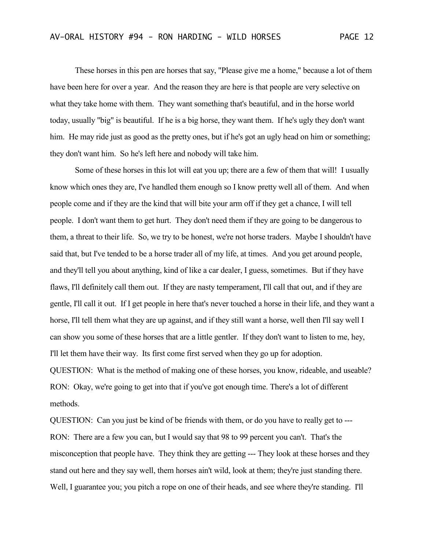These horses in this pen are horses that say, "Please give me a home," because a lot of them have been here for over a year. And the reason they are here is that people are very selective on what they take home with them. They want something that's beautiful, and in the horse world today, usually "big" is beautiful. If he is a big horse, they want them. If he's ugly they don't want him. He may ride just as good as the pretty ones, but if he's got an ugly head on him or something; they don't want him. So he's left here and nobody will take him.

Some of these horses in this lot will eat you up; there are a few of them that will! I usually know which ones they are, I've handled them enough so I know pretty well all of them. And when people come and if they are the kind that will bite your arm off if they get a chance, I will tell people. I don't want them to get hurt. They don't need them if they are going to be dangerous to them, a threat to their life. So, we try to be honest, we're not horse traders. Maybe I shouldn't have said that, but I've tended to be a horse trader all of my life, at times. And you get around people, and they'll tell you about anything, kind of like a car dealer, I guess, sometimes. But if they have flaws, I'll definitely call them out. If they are nasty temperament, I'll call that out, and if they are gentle, I'll call it out. If I get people in here that's never touched a horse in their life, and they want a horse, I'll tell them what they are up against, and if they still want a horse, well then I'll say well I can show you some of these horses that are a little gentler. If they don't want to listen to me, hey, I'll let them have their way. Its first come first served when they go up for adoption. QUESTION: What is the method of making one of these horses, you know, rideable, and useable?

RON: Okay, we're going to get into that if you've got enough time. There's a lot of different methods.

QUESTION: Can you just be kind of be friends with them, or do you have to really get to --- RON: There are a few you can, but I would say that 98 to 99 percent you can't. That's the misconception that people have. They think they are getting --- They look at these horses and they stand out here and they say well, them horses ain't wild, look at them; they're just standing there. Well, I guarantee you; you pitch a rope on one of their heads, and see where they're standing. I'll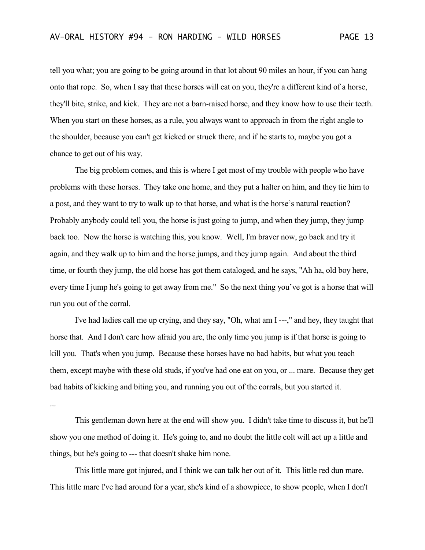tell you what; you are going to be going around in that lot about 90 miles an hour, if you can hang onto that rope. So, when I say that these horses will eat on you, they're a different kind of a horse, they'll bite, strike, and kick. They are not a barn-raised horse, and they know how to use their teeth. When you start on these horses, as a rule, you always want to approach in from the right angle to the shoulder, because you can't get kicked or struck there, and if he starts to, maybe you got a chance to get out of his way.

The big problem comes, and this is where I get most of my trouble with people who have problems with these horses. They take one home, and they put a halter on him, and they tie him to a post, and they want to try to walk up to that horse, and what is the horse's natural reaction? Probably anybody could tell you, the horse is just going to jump, and when they jump, they jump back too. Now the horse is watching this, you know. Well, I'm braver now, go back and try it again, and they walk up to him and the horse jumps, and they jump again. And about the third time, or fourth they jump, the old horse has got them cataloged, and he says, "Ah ha, old boy here, every time I jump he's going to get away from me." So the next thing you've got is a horse that will run you out of the corral.

I've had ladies call me up crying, and they say, "Oh, what am I ---," and hey, they taught that horse that. And I don't care how afraid you are, the only time you jump is if that horse is going to kill you. That's when you jump. Because these horses have no bad habits, but what you teach them, except maybe with these old studs, if you've had one eat on you, or ... mare. Because they get bad habits of kicking and biting you, and running you out of the corrals, but you started it. ...

This gentleman down here at the end will show you. I didn't take time to discuss it, but he'll show you one method of doing it. He's going to, and no doubt the little colt will act up a little and things, but he's going to --- that doesn't shake him none.

This little mare got injured, and I think we can talk her out of it. This little red dun mare. This little mare I've had around for a year, she's kind of a showpiece, to show people, when I don't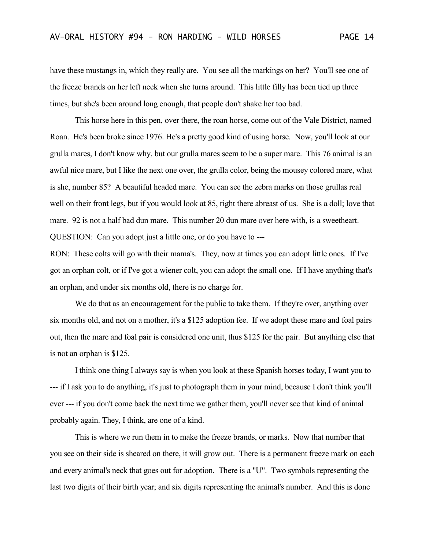have these mustangs in, which they really are. You see all the markings on her? You'll see one of the freeze brands on her left neck when she turns around. This little filly has been tied up three times, but she's been around long enough, that people don't shake her too bad.

This horse here in this pen, over there, the roan horse, come out of the Vale District, named Roan. He's been broke since 1976. He's a pretty good kind of using horse. Now, you'll look at our grulla mares, I don't know why, but our grulla mares seem to be a super mare. This 76 animal is an awful nice mare, but I like the next one over, the grulla color, being the mousey colored mare, what is she, number 85? A beautiful headed mare. You can see the zebra marks on those grullas real well on their front legs, but if you would look at 85, right there abreast of us. She is a doll; love that mare. 92 is not a half bad dun mare. This number 20 dun mare over here with, is a sweetheart. QUESTION: Can you adopt just a little one, or do you have to ---

RON: These colts will go with their mama's. They, now at times you can adopt little ones. If I've got an orphan colt, or if I've got a wiener colt, you can adopt the small one. If I have anything that's an orphan, and under six months old, there is no charge for.

We do that as an encouragement for the public to take them. If they're over, anything over six months old, and not on a mother, it's a \$125 adoption fee. If we adopt these mare and foal pairs out, then the mare and foal pair is considered one unit, thus \$125 for the pair. But anything else that is not an orphan is \$125.

I think one thing I always say is when you look at these Spanish horses today, I want you to --- if I ask you to do anything, it's just to photograph them in your mind, because I don't think you'll ever --- if you don't come back the next time we gather them, you'll never see that kind of animal probably again. They, I think, are one of a kind.

This is where we run them in to make the freeze brands, or marks. Now that number that you see on their side is sheared on there, it will grow out. There is a permanent freeze mark on each and every animal's neck that goes out for adoption. There is a "U". Two symbols representing the last two digits of their birth year; and six digits representing the animal's number. And this is done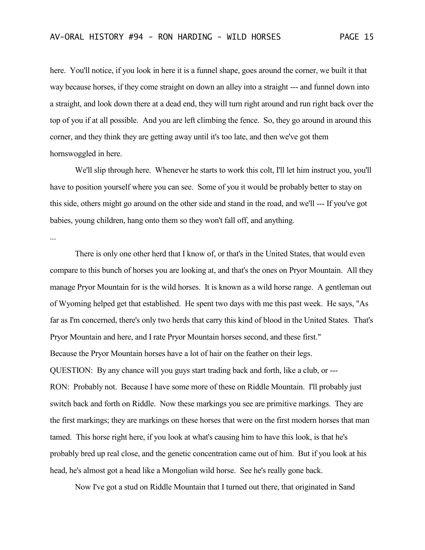here. You'll notice, if you look in here it is a funnel shape, goes around the corner, we built it that way because horses, if they come straight on down an alley into a straight --- and funnel down into a straight, and look down there at a dead end, they will turn right around and run right back over the top of you if at all possible. And you are left climbing the fence. So, they go around in around this corner, and they think they are getting away until it's too late, and then we've got them hornswoggled in here.

We'll slip through here. Whenever he starts to work this colt, I'll let him instruct you, you'll have to position yourself where you can see. Some of you it would be probably better to stay on this side, others might go around on the other side and stand in the road, and we'll --- If you've got babies, young children, hang onto them so they won't fall off, and anything.

...

There is only one other herd that I know of, or that's in the United States, that would even compare to this bunch of horses you are looking at, and that's the ones on Pryor Mountain. All they manage Pryor Mountain for is the wild horses. It is known as a wild horse range. A gentleman out of Wyoming helped get that established. He spent two days with me this past week. He says, "As far as I'm concerned, there's only two herds that carry this kind of blood in the United States. That's Pryor Mountain and here, and I rate Pryor Mountain horses second, and these first." Because the Pryor Mountain horses have a lot of hair on the feather on their legs. QUESTION: By any chance will you guys start trading back and forth, like a club, or --- RON: Probably not. Because I have some more of these on Riddle Mountain. I'll probably just switch back and forth on Riddle. Now these markings you see are primitive markings. They are the first markings; they are markings on these horses that were on the first modern horses that man tamed. This horse right here, if you look at what's causing him to have this look, is that he's probably bred up real close, and the genetic concentration came out of him. But if you look at his head, he's almost got a head like a Mongolian wild horse. See he's really gone back.

Now I've got a stud on Riddle Mountain that I turned out there, that originated in Sand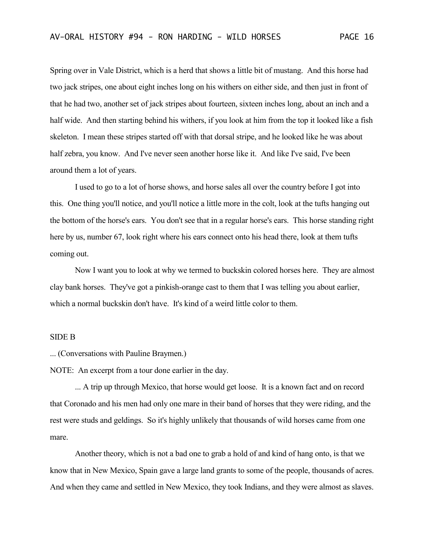Spring over in Vale District, which is a herd that shows a little bit of mustang. And this horse had two jack stripes, one about eight inches long on his withers on either side, and then just in front of that he had two, another set of jack stripes about fourteen, sixteen inches long, about an inch and a half wide. And then starting behind his withers, if you look at him from the top it looked like a fish skeleton. I mean these stripes started off with that dorsal stripe, and he looked like he was about half zebra, you know. And I've never seen another horse like it. And like I've said, I've been around them a lot of years.

I used to go to a lot of horse shows, and horse sales all over the country before I got into this. One thing you'll notice, and you'll notice a little more in the colt, look at the tufts hanging out the bottom of the horse's ears. You don't see that in a regular horse's ears. This horse standing right here by us, number 67, look right where his ears connect onto his head there, look at them tufts coming out.

Now I want you to look at why we termed to buckskin colored horses here. They are almost clay bank horses. They've got a pinkish-orange cast to them that I was telling you about earlier, which a normal buckskin don't have. It's kind of a weird little color to them.

## SIDE B

... (Conversations with Pauline Braymen.)

NOTE: An excerpt from a tour done earlier in the day.

... A trip up through Mexico, that horse would get loose. It is a known fact and on record that Coronado and his men had only one mare in their band of horses that they were riding, and the rest were studs and geldings. So it's highly unlikely that thousands of wild horses came from one mare.

Another theory, which is not a bad one to grab a hold of and kind of hang onto, is that we know that in New Mexico, Spain gave a large land grants to some of the people, thousands of acres. And when they came and settled in New Mexico, they took Indians, and they were almost as slaves.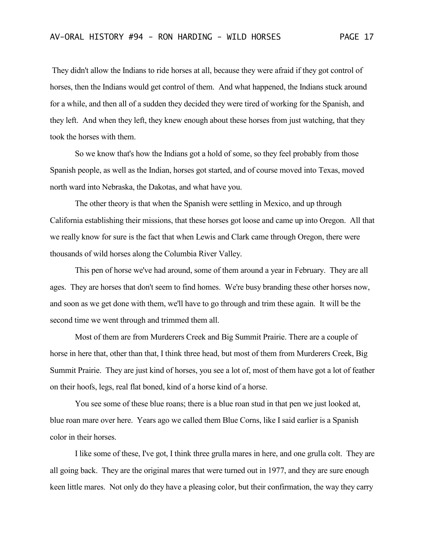They didn't allow the Indians to ride horses at all, because they were afraid if they got control of horses, then the Indians would get control of them. And what happened, the Indians stuck around for a while, and then all of a sudden they decided they were tired of working for the Spanish, and they left. And when they left, they knew enough about these horses from just watching, that they took the horses with them.

So we know that's how the Indians got a hold of some, so they feel probably from those Spanish people, as well as the Indian, horses got started, and of course moved into Texas, moved north ward into Nebraska, the Dakotas, and what have you.

The other theory is that when the Spanish were settling in Mexico, and up through California establishing their missions, that these horses got loose and came up into Oregon. All that we really know for sure is the fact that when Lewis and Clark came through Oregon, there were thousands of wild horses along the Columbia River Valley.

This pen of horse we've had around, some of them around a year in February. They are all ages. They are horses that don't seem to find homes. We're busy branding these other horses now, and soon as we get done with them, we'll have to go through and trim these again. It will be the second time we went through and trimmed them all.

Most of them are from Murderers Creek and Big Summit Prairie. There are a couple of horse in here that, other than that, I think three head, but most of them from Murderers Creek, Big Summit Prairie. They are just kind of horses, you see a lot of, most of them have got a lot of feather on their hoofs, legs, real flat boned, kind of a horse kind of a horse.

You see some of these blue roans; there is a blue roan stud in that pen we just looked at, blue roan mare over here. Years ago we called them Blue Corns, like I said earlier is a Spanish color in their horses.

I like some of these, I've got, I think three grulla mares in here, and one grulla colt. They are all going back. They are the original mares that were turned out in 1977, and they are sure enough keen little mares. Not only do they have a pleasing color, but their confirmation, the way they carry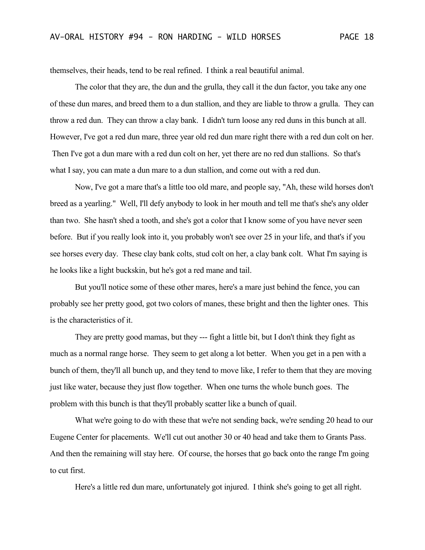themselves, their heads, tend to be real refined. I think a real beautiful animal.

The color that they are, the dun and the grulla, they call it the dun factor, you take any one of these dun mares, and breed them to a dun stallion, and they are liable to throw a grulla. They can throw a red dun. They can throw a clay bank. I didn't turn loose any red duns in this bunch at all. However, I've got a red dun mare, three year old red dun mare right there with a red dun colt on her. Then I've got a dun mare with a red dun colt on her, yet there are no red dun stallions. So that's what I say, you can mate a dun mare to a dun stallion, and come out with a red dun.

Now, I've got a mare that's a little too old mare, and people say, "Ah, these wild horses don't breed as a yearling." Well, I'll defy anybody to look in her mouth and tell me that's she's any older than two. She hasn't shed a tooth, and she's got a color that I know some of you have never seen before. But if you really look into it, you probably won't see over 25 in your life, and that's if you see horses every day. These clay bank colts, stud colt on her, a clay bank colt. What I'm saying is he looks like a light buckskin, but he's got a red mane and tail.

But you'll notice some of these other mares, here's a mare just behind the fence, you can probably see her pretty good, got two colors of manes, these bright and then the lighter ones. This is the characteristics of it.

They are pretty good mamas, but they --- fight a little bit, but I don't think they fight as much as a normal range horse. They seem to get along a lot better. When you get in a pen with a bunch of them, they'll all bunch up, and they tend to move like, I refer to them that they are moving just like water, because they just flow together. When one turns the whole bunch goes. The problem with this bunch is that they'll probably scatter like a bunch of quail.

What we're going to do with these that we're not sending back, we're sending 20 head to our Eugene Center for placements. We'll cut out another 30 or 40 head and take them to Grants Pass. And then the remaining will stay here. Of course, the horses that go back onto the range I'm going to cut first.

Here's a little red dun mare, unfortunately got injured. I think she's going to get all right.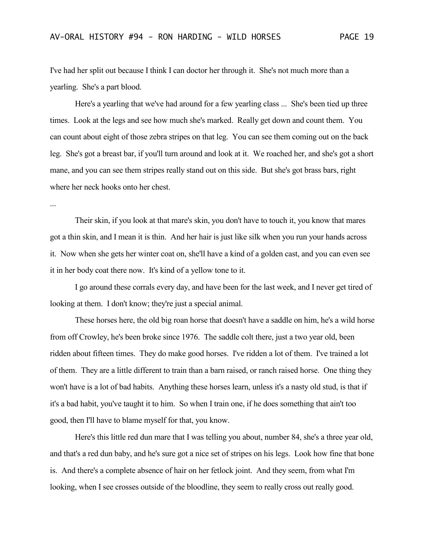I've had her split out because I think I can doctor her through it. She's not much more than a yearling. She's a part blood.

Here's a yearling that we've had around for a few yearling class ... She's been tied up three times. Look at the legs and see how much she's marked. Really get down and count them. You can count about eight of those zebra stripes on that leg. You can see them coming out on the back leg. She's got a breast bar, if you'll turn around and look at it. We roached her, and she's got a short mane, and you can see them stripes really stand out on this side. But she's got brass bars, right where her neck hooks onto her chest.

...

Their skin, if you look at that mare's skin, you don't have to touch it, you know that mares got a thin skin, and I mean it is thin. And her hair is just like silk when you run your hands across it. Now when she gets her winter coat on, she'll have a kind of a golden cast, and you can even see it in her body coat there now. It's kind of a yellow tone to it.

I go around these corrals every day, and have been for the last week, and I never get tired of looking at them. I don't know; they're just a special animal.

These horses here, the old big roan horse that doesn't have a saddle on him, he's a wild horse from off Crowley, he's been broke since 1976. The saddle colt there, just a two year old, been ridden about fifteen times. They do make good horses. I've ridden a lot of them. I've trained a lot of them. They are a little different to train than a barn raised, or ranch raised horse. One thing they won't have is a lot of bad habits. Anything these horses learn, unless it's a nasty old stud, is that if it's a bad habit, you've taught it to him. So when I train one, if he does something that ain't too good, then I'll have to blame myself for that, you know.

Here's this little red dun mare that I was telling you about, number 84, she's a three year old, and that's a red dun baby, and he's sure got a nice set of stripes on his legs. Look how fine that bone is. And there's a complete absence of hair on her fetlock joint. And they seem, from what I'm looking, when I see crosses outside of the bloodline, they seem to really cross out really good.